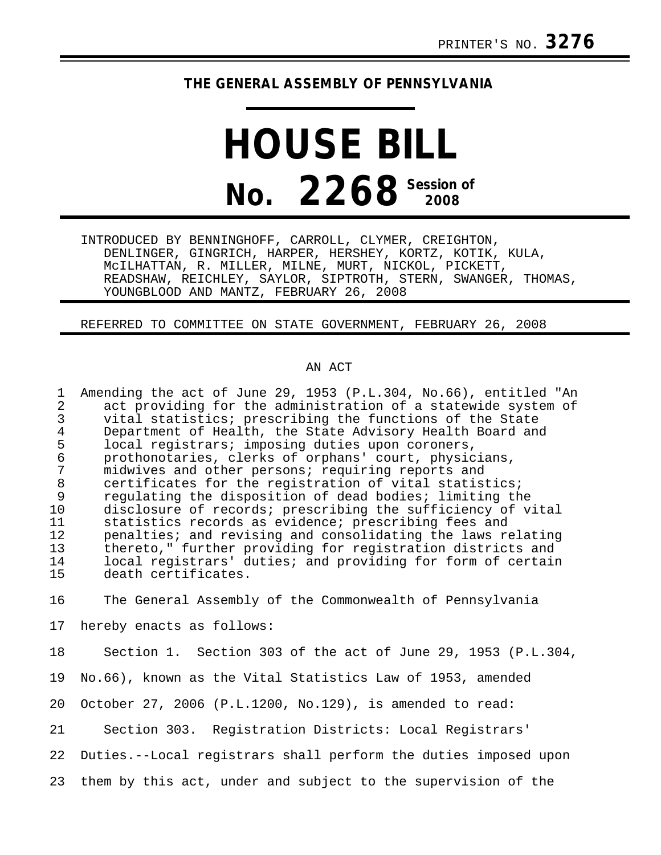## **THE GENERAL ASSEMBLY OF PENNSYLVANIA**

## **HOUSE BILL No. 2268 Session of 2008**

INTRODUCED BY BENNINGHOFF, CARROLL, CLYMER, CREIGHTON, DENLINGER, GINGRICH, HARPER, HERSHEY, KORTZ, KOTIK, KULA, McILHATTAN, R. MILLER, MILNE, MURT, NICKOL, PICKETT, READSHAW, REICHLEY, SAYLOR, SIPTROTH, STERN, SWANGER, THOMAS, YOUNGBLOOD AND MANTZ, FEBRUARY 26, 2008

REFERRED TO COMMITTEE ON STATE GOVERNMENT, FEBRUARY 26, 2008

## AN ACT

1 Amending the act of June 29, 1953 (P.L.304, No.66), entitled "An 2 act providing for the administration of a statewide system of<br>3 yital statistics; prescribing the functions of the State 3 vital statistics; prescribing the functions of the State 4 Department of Health, the State Advisory Health Board and<br>5 local registrars; imposing duties upon coroners, 5 local registrars; imposing duties upon coroners,<br>6 prothonotaries, clerks of orphans' court, physic 6 prothonotaries, clerks of orphans' court, physicians, 7 midwives and other persons; requiring reports and 8 certificates for the registration of vital statistics;<br>9 regulating the disposition of dead bodies; limiting the 9 regulating the disposition of dead bodies; limiting the<br>10 disclosure of records; prescribing the sufficiency of v 10 disclosure of records; prescribing the sufficiency of vital<br>11 statistics records as evidence; prescribing fees and 11 statistics records as evidence; prescribing fees and<br>12 penalties; and revising and consolidating the laws re 12 penalties; and revising and consolidating the laws relating<br>13 thereto." further providing for registration districts and thereto," further providing for registration districts and 14 local registrars' duties; and providing for form of certain<br>15 death certificates. death certificates. 16 The General Assembly of the Commonwealth of Pennsylvania 17 hereby enacts as follows: 18 Section 1. Section 303 of the act of June 29, 1953 (P.L.304, 19 No.66), known as the Vital Statistics Law of 1953, amended 20 October 27, 2006 (P.L.1200, No.129), is amended to read: 21 Section 303. Registration Districts: Local Registrars'

22 Duties.--Local registrars shall perform the duties imposed upon

23 them by this act, under and subject to the supervision of the